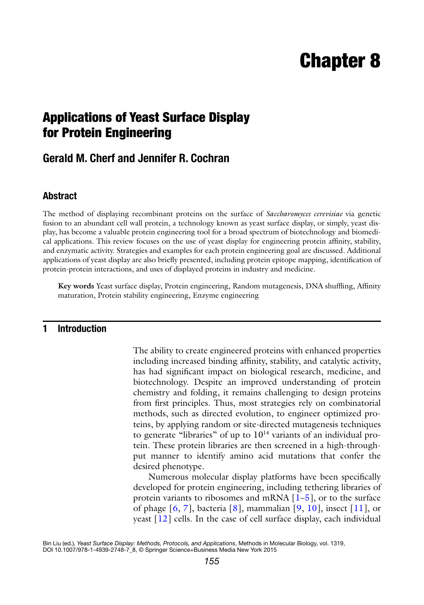# **Chapter 8**

## **Applications of Yeast Surface Display for Protein Engineering**

### **Gerald M. Cherf and Jennifer R. Cochran**

#### **Abstract**

The method of displaying recombinant proteins on the surface of *Saccharomyces cerevisiae* via genetic fusion to an abundant cell wall protein, a technology known as yeast surface display, or simply, yeast display, has become a valuable protein engineering tool for a broad spectrum of biotechnology and biomedical applications. This review focuses on the use of yeast display for engineering protein affinity, stability, and enzymatic activity. Strategies and examples for each protein engineering goal are discussed. Additional applications of yeast display are also briefly presented, including protein epitope mapping, identification of protein-protein interactions, and uses of displayed proteins in industry and medicine.

**Key words** Yeast surface display, Protein engineering, Random mutagenesis, DNA shuffling, Affinity maturation, Protein stability engineering, Enzyme engineering

#### **1 Introduction**

The ability to create engineered proteins with enhanced properties including increased binding affinity, stability, and catalytic activity, has had significant impact on biological research, medicine, and biotechnology. Despite an improved understanding of protein chemistry and folding, it remains challenging to design proteins from first principles. Thus, most strategies rely on combinatorial methods, such as directed evolution, to engineer optimized proteins, by applying random or site- directed mutagenesis techniques to generate "libraries" of up to  $10<sup>14</sup>$  variants of an individual protein. These protein libraries are then screened in a high-throughput manner to identify amino acid mutations that confer the desired phenotype.

Numerous molecular display platforms have been specifically developed for protein engineering, including tethering libraries of protein variants to ribosomes and mRNA  $\left[1-5\right]$ , or to the surface of phage  $[6, 7]$  $[6, 7]$  $[6, 7]$ , bacteria  $[8]$ , mammalian  $[9, 10]$  $[9, 10]$  $[9, 10]$ , insect  $[11]$ , or yeast  $[12]$  cells. In the case of cell surface display, each individual

Bin Liu (ed.), *Yeast Surface Display: Methods, Protocols, and Applications*, Methods in Molecular Biology, vol. 1319,

DOI 10.1007/978-1-4939-2748-7\_8, © Springer Science+Business Media New York 2015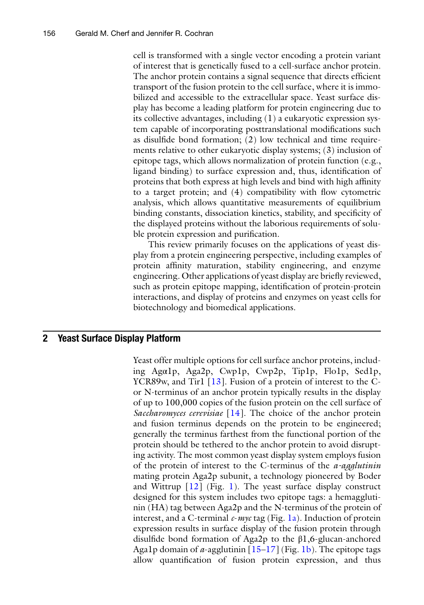cell is transformed with a single vector encoding a protein variant of interest that is genetically fused to a cell-surface anchor protein. The anchor protein contains a signal sequence that directs efficient transport of the fusion protein to the cell surface, where it is immobilized and accessible to the extracellular space. Yeast surface display has become a leading platform for protein engineering due to its collective advantages, including (1) a eukaryotic expression system capable of incorporating posttranslational modifications such as disulfide bond formation;  $(2)$  low technical and time requirements relative to other eukaryotic display systems; (3) inclusion of epitope tags, which allows normalization of protein function (e.g., ligand binding) to surface expression and, thus, identification of proteins that both express at high levels and bind with high affinity to a target protein; and  $(4)$  compatibility with flow cytometric analysis, which allows quantitative measurements of equilibrium binding constants, dissociation kinetics, stability, and specificity of the displayed proteins without the laborious requirements of soluble protein expression and purification.

This review primarily focuses on the applications of yeast display from a protein engineering perspective, including examples of protein affinity maturation, stability engineering, and enzyme engineering. Other applications of yeast display are briefly reviewed, such as protein epitope mapping, identification of protein-protein interactions, and display of proteins and enzymes on yeast cells for biotechnology and biomedical applications.

#### **2 Yeast Surface Display Platform**

Yeast offer multiple options for cell surface anchor proteins, including Agα1p, Aga2p, Cwp1p, Cwp2p, Tip1p, Flo1p, Sed1p, YCR89w, and Tir1  $\lceil 13 \rceil$ . Fusion of a protein of interest to the Cor N-terminus of an anchor protein typically results in the display of up to 100,000 copies of the fusion protein on the cell surface of *Saccharomyces cerevisiae* [\[ 14\]](#page-16-0). The choice of the anchor protein and fusion terminus depends on the protein to be engineered; generally the terminus farthest from the functional portion of the protein should be tethered to the anchor protein to avoid disrupting activity. The most common yeast display system employs fusion of the protein of interest to the C-terminus of the *a - agglutinin* mating protein Aga2p subunit, a technology pioneered by Boder and Wittrup  $[12]$  $[12]$  $[12]$  (Fig. 1). The yeast surface display construct designed for this system includes two epitope tags: a hemagglutinin (HA) tag between Aga2p and the N-terminus of the protein of interest, and a C-terminal *c*- *myc* tag (Fig. [1a\)](#page-2-0). Induction of protein expression results in surface display of the fusion protein through disulfide bond formation of Aga2p to the  $\beta$ 1,6-glucan-anchored Aga1p domain of  $\alpha$ -agglutinin  $[15-17]$  (Fig. [1b\)](#page-2-0). The epitope tags allow quantification of fusion protein expression, and thus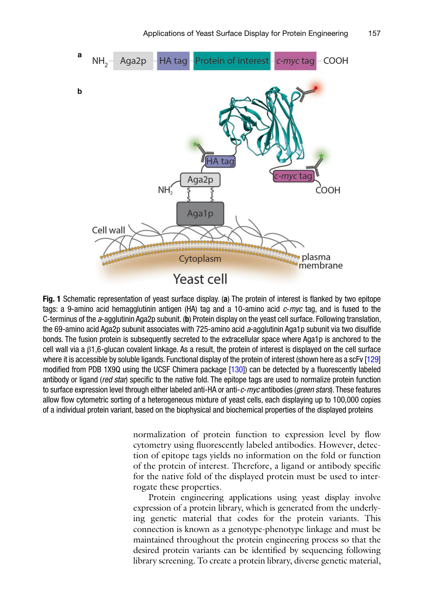<span id="page-2-0"></span>

**Fig. 1** Schematic representation of yeast surface display. (a) The protein of interest is flanked by two epitope tags: a 9-amino acid hemagglutinin antigen (HA) tag and a 10-amino acid *c-myc* tag, and is fused to the C-terminus of the *a*-agglutinin Aga2p subunit. (b) Protein display on the yeast cell surface. Following translation, the 69-amino acid Aga2p subunit associates with 725-amino acid a-agglutinin Aga1p subunit via two disulfide bonds. The fusion protein is subsequently secreted to the extracellular space where Aga1p is anchored to the cell wall via a β1,6-glucan covalent linkage. As a result, the protein of interest is displayed on the cell surface where it is accessible by soluble ligands. Functional display of the protein of interest (shown here as a scFv [129] modified from PDB 1X9Q using the UCSF Chimera package  $[130]$ ) can be detected by a fluorescently labeled antibody or ligand (*red star*) specific to the native fold. The epitope tags are used to normalize protein function to surface expression level through either labeled anti-HA or anti- *c* - *myc* antibodies ( *green stars* ). These features allow flow cytometric sorting of a heterogeneous mixture of yeast cells, each displaying up to 100,000 copies of a individual protein variant, based on the biophysical and biochemical properties of the displayed proteins

normalization of protein function to expression level by flow cytometry using fluorescently labeled antibodies. However, detection of epitope tags yields no information on the fold or function of the protein of interest. Therefore, a ligand or antibody specific for the native fold of the displayed protein must be used to interrogate these properties.

Protein engineering applications using yeast display involve expression of a protein library, which is generated from the underlying genetic material that codes for the protein variants. This connection is known as a genotype-phenotype linkage and must be maintained throughout the protein engineering process so that the desired protein variants can be identified by sequencing following library screening. To create a protein library, diverse genetic material,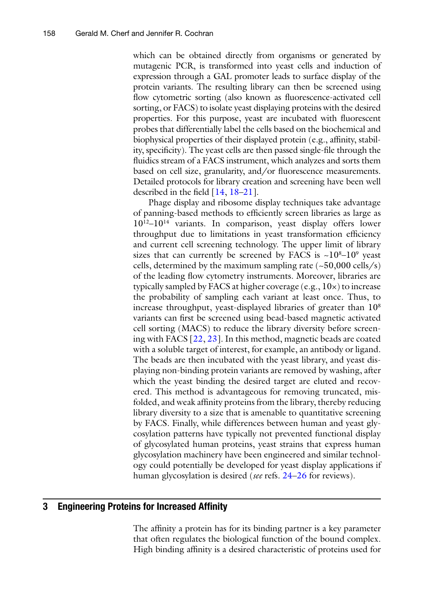which can be obtained directly from organisms or generated by mutagenic PCR, is transformed into yeast cells and induction of expression through a GAL promoter leads to surface display of the protein variants. The resulting library can then be screened using flow cytometric sorting (also known as fluorescence-activated cell sorting, or FACS) to isolate yeast displaying proteins with the desired properties. For this purpose, yeast are incubated with fluorescent probes that differentially label the cells based on the biochemical and biophysical properties of their displayed protein (e.g., affinity, stability, specificity). The yeast cells are then passed single-file through the fluidics stream of a FACS instrument, which analyzes and sorts them based on cell size, granularity, and/or fluorescence measurements. Detailed protocols for library creation and screening have been well described in the field  $[14, 18-21]$ .

Phage display and ribosome display techniques take advantage of panning-based methods to efficiently screen libraries as large as  $10^{12}$ – $10^{14}$  variants. In comparison, yeast display offers lower throughput due to limitations in yeast transformation efficiency and current cell screening technology. The upper limit of library sizes that can currently be screened by FACS is  $~10^{8}-10^{9}$  yeast cells, determined by the maximum sampling rate  $(-50,000 \text{ cells/s})$ of the leading flow cytometry instruments. Moreover, libraries are typically sampled by FACS at higher coverage (e.g., 10×) to increase the probability of sampling each variant at least once. Thus, to increase throughput, yeast-displayed libraries of greater than  $10<sup>8</sup>$ variants can first be screened using bead-based magnetic activated cell sorting (MACS) to reduce the library diversity before screening with FACS [\[ 22, 23\]](#page-16-0). In this method, magnetic beads are coated with a soluble target of interest, for example, an antibody or ligand. The beads are then incubated with the yeast library, and yeast displaying non-binding protein variants are removed by washing, after which the yeast binding the desired target are eluted and recovered. This method is advantageous for removing truncated, misfolded, and weak affinity proteins from the library, thereby reducing library diversity to a size that is amenable to quantitative screening by FACS. Finally, while differences between human and yeast glycosylation patterns have typically not prevented functional display of glycosylated human proteins, yeast strains that express human glycosylation machinery have been engineered and similar technology could potentially be developed for yeast display applications if human glycosylation is desired (*see* refs. [24](#page-16-0)–26 for reviews).

#### **3** Engineering Proteins for Increased Affinity

The affinity a protein has for its binding partner is a key parameter that often regulates the biological function of the bound complex. High binding affinity is a desired characteristic of proteins used for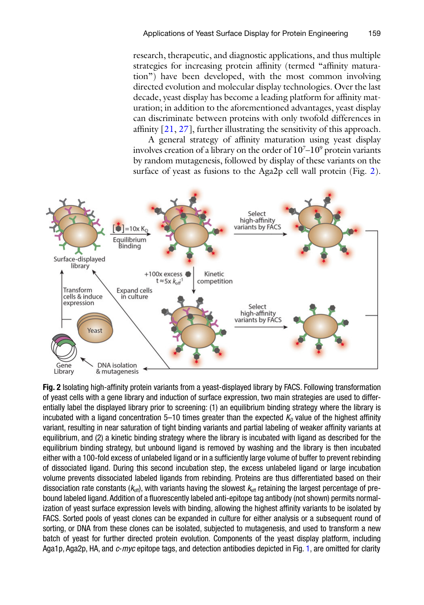research, therapeutic, and diagnostic applications, and thus multiple strategies for increasing protein affinity (termed "affinity maturation") have been developed, with the most common involving directed evolution and molecular display technologies. Over the last decade, yeast display has become a leading platform for affinity maturation; in addition to the aforementioned advantages, yeast display can discriminate between proteins with only twofold differences in affinity  $[21, 27]$  $[21, 27]$ , further illustrating the sensitivity of this approach.

A general strategy of affinity maturation using yeast display involves creation of a library on the order of  $10^7$ – $10^9$  protein variants by random mutagenesis, followed by display of these variants on the surface of yeast as fusions to the Aga2p cell wall protein (Fig. 2).



Fig. 2 Isolating high-affinity protein variants from a yeast-displayed library by FACS. Following transformation of yeast cells with a gene library and induction of surface expression, two main strategies are used to differentially label the displayed library prior to screening: (1) an equilibrium binding strategy where the library is incubated with a ligand concentration  $5-10$  times greater than the expected  $K<sub>D</sub>$  value of the highest affinity variant, resulting in near saturation of tight binding variants and partial labeling of weaker affinity variants at equilibrium, and (2) a kinetic binding strategy where the library is incubated with ligand as described for the equilibrium binding strategy, but unbound ligand is removed by washing and the library is then incubated either with a 100-fold excess of unlabeled ligand or in a sufficiently large volume of buffer to prevent rebinding of dissociated ligand. During this second incubation step, the excess unlabeled ligand or large incubation volume prevents dissociated labeled ligands from rebinding. Proteins are thus differentiated based on their dissociation rate constants  $(k_{\text{off}})$ , with variants having the slowest  $k_{\text{off}}$  retaining the largest percentage of prebound labeled ligand. Addition of a fluorescently labeled anti-epitope tag antibody (not shown) permits normalization of yeast surface expression levels with binding, allowing the highest affinity variants to be isolated by FACS. Sorted pools of yeast clones can be expanded in culture for either analysis or a subsequent round of sorting, or DNA from these clones can be isolated, subjected to mutagenesis, and used to transform a new batch of yeast for further directed protein evolution. Components of the yeast display platform, including Aga1p, Aga2p, HA, and  $c$ -*myc* epitope tags, and detection antibodies depicted in Fig. [1](#page-2-0), are omitted for clarity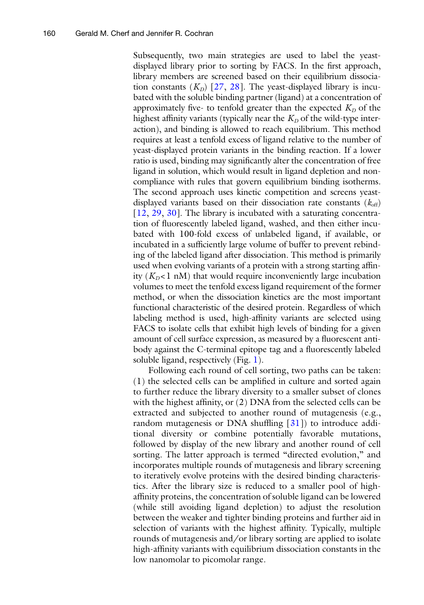Subsequently, two main strategies are used to label the yeastdisplayed library prior to sorting by FACS. In the first approach, library members are screened based on their equilibrium dissociation constants  $(K_D)$  [27, [28](#page-16-0)]. The yeast-displayed library is incubated with the soluble binding partner (ligand) at a concentration of approximately five- to tenfold greater than the expected  $K_D$  of the highest affinity variants (typically near the  $K_D$  of the wild-type interaction), and binding is allowed to reach equilibrium. This method requires at least a tenfold excess of ligand relative to the number of yeast-displayed protein variants in the binding reaction. If a lower ratio is used, binding may significantly alter the concentration of free ligand in solution, which would result in ligand depletion and noncompliance with rules that govern equilibrium binding isotherms. The second approach uses kinetic competition and screens yeastdisplayed variants based on their dissociation rate constants  $(k_{\text{off}})$  $[12, 29, 30]$  $[12, 29, 30]$  $[12, 29, 30]$  $[12, 29, 30]$  $[12, 29, 30]$ . The library is incubated with a saturating concentration of fluorescently labeled ligand, washed, and then either incubated with 100-fold excess of unlabeled ligand, if available, or incubated in a sufficiently large volume of buffer to prevent rebinding of the labeled ligand after dissociation. This method is primarily used when evolving variants of a protein with a strong starting affinity  $(K_D < 1 \text{ nM})$  that would require inconveniently large incubation volumes to meet the tenfold excess ligand requirement of the former method, or when the dissociation kinetics are the most important functional characteristic of the desired protein. Regardless of which labeling method is used, high-affinity variants are selected using FACS to isolate cells that exhibit high levels of binding for a given amount of cell surface expression, as measured by a fluorescent antibody against the C-terminal epitope tag and a fluorescently labeled soluble ligand, respectively (Fig. [1](#page-2-0)).

Following each round of cell sorting, two paths can be taken:  $(1)$  the selected cells can be amplified in culture and sorted again to further reduce the library diversity to a smaller subset of clones with the highest affinity, or  $(2)$  DNA from the selected cells can be extracted and subjected to another round of mutagenesis (e.g., random mutagenesis or DNA shuffling  $\lceil 31 \rceil$  $\lceil 31 \rceil$  $\lceil 31 \rceil$ ) to introduce additional diversity or combine potentially favorable mutations, followed by display of the new library and another round of cell sorting. The latter approach is termed "directed evolution," and incorporates multiple rounds of mutagenesis and library screening to iteratively evolve proteins with the desired binding characteristics. After the library size is reduced to a smaller pool of highaffinity proteins, the concentration of soluble ligand can be lowered (while still avoiding ligand depletion) to adjust the resolution between the weaker and tighter binding proteins and further aid in selection of variants with the highest affinity. Typically, multiple rounds of mutagenesis and/or library sorting are applied to isolate high-affinity variants with equilibrium dissociation constants in the low nanomolar to picomolar range.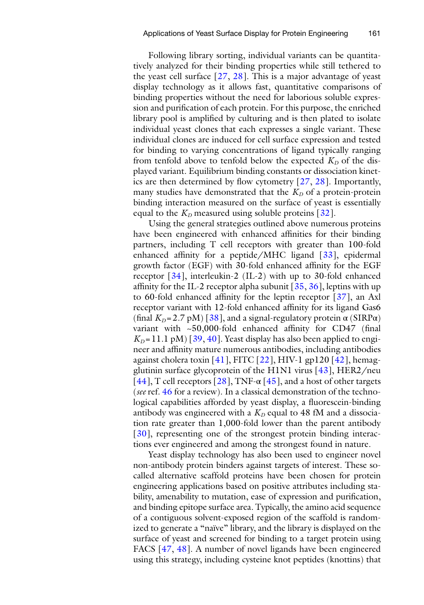Following library sorting, individual variants can be quantitatively analyzed for their binding properties while still tethered to the yeast cell surface  $\lceil 27, 28 \rceil$  $\lceil 27, 28 \rceil$  $\lceil 27, 28 \rceil$ . This is a major advantage of yeast display technology as it allows fast, quantitative comparisons of binding properties without the need for laborious soluble expression and purification of each protein. For this purpose, the enriched library pool is amplified by culturing and is then plated to isolate individual yeast clones that each expresses a single variant. These individual clones are induced for cell surface expression and tested for binding to varying concentrations of ligand typically ranging from tenfold above to tenfold below the expected  $K_D$  of the displayed variant. Equilibrium binding constants or dissociation kinetics are then determined by flow cytometry  $[27, 28]$  $[27, 28]$  $[27, 28]$ . Importantly, many studies have demonstrated that the  $K_D$  of a protein-protein binding interaction measured on the surface of yeast is essentially equal to the  $K_D$  measured using soluble proteins  $[32]$ .

Using the general strategies outlined above numerous proteins have been engineered with enhanced affinities for their binding partners, including T cell receptors with greater than 100-fold enhanced affinity for a peptide/MHC ligand  $[33]$ , epidermal growth factor (EGF) with 30-fold enhanced affinity for the EGF receptor [ [34\]](#page-17-0), interleukin-2 (IL-2) with up to 30-fold enhanced affinity for the IL-2 receptor alpha subunit  $\left[35, 36\right]$  $\left[35, 36\right]$  $\left[35, 36\right]$ , leptins with up to 60-fold enhanced affinity for the leptin receptor  $[37]$ , an Axl receptor variant with 12-fold enhanced affinity for its ligand Gas6 (final  $K_D = 2.7$  pM) [ $38$ ], and a signal-regulatory protein  $\alpha$  (SIRP $\alpha$ ) variant with  $\sim$  50,000-fold enhanced affinity for CD47 (final  $K_D = 11.1 \text{ pM}$  [39, [40](#page-17-0)]. Yeast display has also been applied to engineer and affinity mature numerous antibodies, including antibodies against cholera toxin [41], FITC  $[22]$ , HIV-1 gp120 [42], hemagglutinin surface glycoprotein of the H1N1 virus  $[43]$ , HER2/neu [ $44$ ], T cell receptors [ $28$ ], TNF- $\alpha$  [ $45$ ], and a host of other targets ( *see* ref. [46](#page-17-0) for a review). In a classical demonstration of the technological capabilities afforded by yeast display, a fluorescein-binding antibody was engineered with a  $K<sub>D</sub>$  equal to 48 fM and a dissociation rate greater than 1,000-fold lower than the parent antibody [30], representing one of the strongest protein binding interactions ever engineered and among the strongest found in nature.

Yeast display technology has also been used to engineer novel non-antibody protein binders against targets of interest. These socalled alternative scaffold proteins have been chosen for protein engineering applications based on positive attributes including stability, amenability to mutation, ease of expression and purification, and binding epitope surface area. Typically, the amino acid sequence of a contiguous solvent-exposed region of the scaffold is randomized to generate a "naïve" library, and the library is displayed on the surface of yeast and screened for binding to a target protein using FACS [47, [48](#page-17-0)]. A number of novel ligands have been engineered using this strategy, including cysteine knot peptides (knottins) that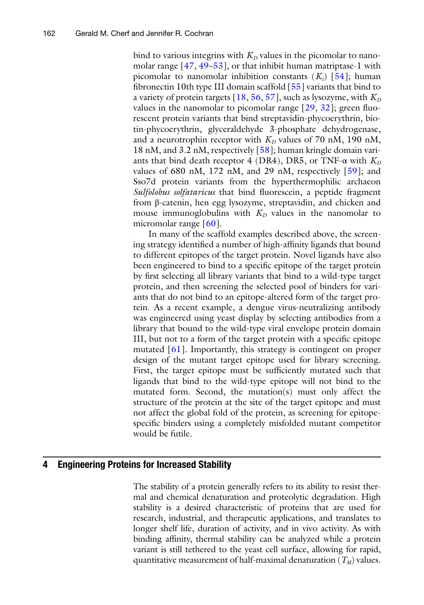bind to various integrins with  $K_D$  values in the picomolar to nanomolar range  $[47, 49-53]$ , or that inhibit human matriptase-1 with picomolar to nanomolar inhibition constants  $(K_i)$  [54]; human fibronectin 10th type III domain scaffold  $[55]$  variants that bind to a variety of protein targets  $[18, 56, 57]$  $[18, 56, 57]$  $[18, 56, 57]$  $[18, 56, 57]$ , such as lysozyme, with  $K_D$ values in the nanomolar to picomolar range  $[29, 32]$  $[29, 32]$  $[29, 32]$ ; green fluorescent protein variants that bind streptavidin-phycoerythrin, biotin-phycoerythrin, glyceraldehyde 3-phosphate dehydrogenase, and a neurotrophin receptor with  $K_D$  values of 70 nM, 190 nM, 18 nM, and 3.2 nM, respectively [\[ 58](#page-17-0)]; human kringle domain variants that bind death receptor 4 (DR4), DR5, or TNF- $\alpha$  with  $K_D$ values of 680 nM, 172 nM, and 29 nM, respectively  $[59]$ ; and Sso7d protein variants from the hyperthermophilic archaeon *Sulfolobus solfataricus* that bind fluorescein, a peptide fragment from β-catenin, hen egg lysozyme, streptavidin, and chicken and mouse immunoglobulins with  $K_D$  values in the nanomolar to micromolar range [60].

In many of the scaffold examples described above, the screening strategy identified a number of high-affinity ligands that bound to different epitopes of the target protein. Novel ligands have also been engineered to bind to a specific epitope of the target protein by first selecting all library variants that bind to a wild-type target protein, and then screening the selected pool of binders for variants that do not bind to an epitope-altered form of the target protein. As a recent example, a dengue virus-neutralizing antibody was engineered using yeast display by selecting antibodies from a library that bound to the wild-type viral envelope protein domain III, but not to a form of the target protein with a specific epitope mutated [61]. Importantly, this strategy is contingent on proper design of the mutant target epitope used for library screening. First, the target epitope must be sufficiently mutated such that ligands that bind to the wild-type epitope will not bind to the mutated form. Second, the mutation(s) must only affect the structure of the protein at the site of the target epitope and must not affect the global fold of the protein, as screening for epitopespecific binders using a completely misfolded mutant competitor would be futile.

#### **4 Engineering Proteins for Increased Stability**

The stability of a protein generally refers to its ability to resist thermal and chemical denaturation and proteolytic degradation. High stability is a desired characteristic of proteins that are used for research, industrial, and therapeutic applications, and translates to longer shelf life, duration of activity, and in vivo activity. As with binding affinity, thermal stability can be analyzed while a protein variant is still tethered to the yeast cell surface, allowing for rapid, quantitative measurement of half-maximal denaturation  $(T_M)$  values.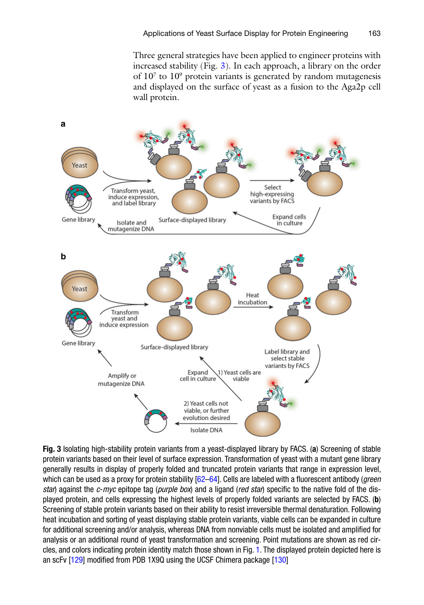Three general strategies have been applied to engineer proteins with increased stability (Fig. 3). In each approach, a library on the order of  $10<sup>7</sup>$  to  $10<sup>9</sup>$  protein variants is generated by random mutagenesis and displayed on the surface of yeast as a fusion to the Aga2p cell wall protein.

<span id="page-8-0"></span>

**Fig. 3** Isolating high-stability protein variants from a yeast-displayed library by FACS. (a) Screening of stable protein variants based on their level of surface expression. Transformation of yeast with a mutant gene library generally results in display of properly folded and truncated protein variants that range in expression level, which can be used as a proxy for protein stability [62–64]. Cells are labeled with a fluorescent antibody (*green star*) against the *c-myc* epitope tag (*purple box*) and a ligand (*red star*) specific to the native fold of the displayed protein, and cells expressing the highest levels of properly folded variants are selected by FACS. ( **b** ) Screening of stable protein variants based on their ability to resist irreversible thermal denaturation. Following heat incubation and sorting of yeast displaying stable protein variants, viable cells can be expanded in culture for additional screening and/or analysis, whereas DNA from nonviable cells must be isolated and amplified for analysis or an additional round of yeast transformation and screening. Point mutations are shown as red circles, and colors indicating protein identity match those shown in Fig. [1 .](#page-2-0) The displayed protein depicted here is an scFv [129] modified from PDB 1X9Q using the UCSF Chimera package [130]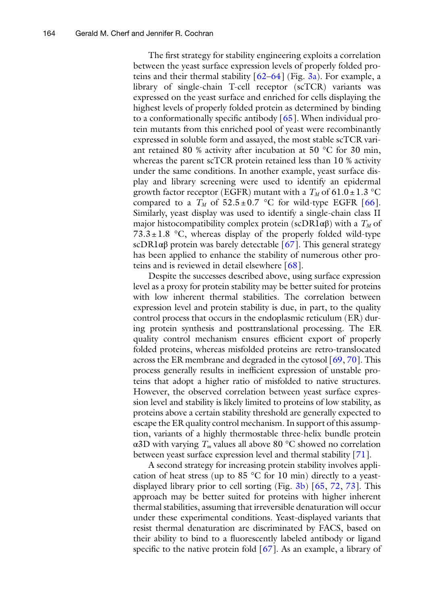The first strategy for stability engineering exploits a correlation between the yeast surface expression levels of properly folded proteins and their thermal stability  $[62-64]$  (Fig. [3a](#page-8-0)). For example, a library of single-chain T-cell receptor (scTCR) variants was expressed on the yeast surface and enriched for cells displaying the highest levels of properly folded protein as determined by binding to a conformationally specific antibody  $[65]$ . When individual protein mutants from this enriched pool of yeast were recombinantly expressed in soluble form and assayed, the most stable scTCR variant retained 80 % activity after incubation at 50 °C for 30 min, whereas the parent scTCR protein retained less than 10 % activity under the same conditions. In another example, yeast surface display and library screening were used to identify an epidermal growth factor receptor (EGFR) mutant with a  $T_M$  of 61.0  $\pm$  1.3 °C compared to a  $T_M$  of  $52.5 \pm 0.7$  °C for wild-type EGFR [66]. Similarly, yeast display was used to identify a single-chain class II major histocompatibility complex protein (scDR1 $\alpha\beta$ ) with a  $T_M$  of  $73.3 \pm 1.8$  °C, whereas display of the properly folded wild-type scDR1 $\alpha\beta$  protein was barely detectable [67]. This general strategy has been applied to enhance the stability of numerous other proteins and is reviewed in detail elsewhere  $\lceil 68 \rceil$  $\lceil 68 \rceil$  $\lceil 68 \rceil$ .

Despite the successes described above, using surface expression level as a proxy for protein stability may be better suited for proteins with low inherent thermal stabilities. The correlation between expression level and protein stability is due, in part, to the quality control process that occurs in the endoplasmic reticulum (ER) during protein synthesis and posttranslational processing. The ER quality control mechanism ensures efficient export of properly folded proteins, whereas misfolded proteins are retro- translocated across the ER membrane and degraded in the cytosol  $[69, 70]$ . This process generally results in inefficient expression of unstable proteins that adopt a higher ratio of misfolded to native structures. However, the observed correlation between yeast surface expression level and stability is likely limited to proteins of low stability, as proteins above a certain stability threshold are generally expected to escape the ER quality control mechanism. In support of this assumption, variants of a highly thermostable three-helix bundle protein α3D with varying *Tm* values all above 80 °C showed no correlation between yeast surface expression level and thermal stability [71].

A second strategy for increasing protein stability involves application of heat stress (up to 85 °C for 10 min) directly to a yeastdisplayed library prior to cell sorting (Fig.  $3b$ ) [65, [72](#page-18-0), [73](#page-18-0)]. This approach may be better suited for proteins with higher inherent thermal stabilities, assuming that irreversible denaturation will occur under these experimental conditions. Yeast-displayed variants that resist thermal denaturation are discriminated by FACS, based on their ability to bind to a fluorescently labeled antibody or ligand specific to the native protein fold  $[67]$ . As an example, a library of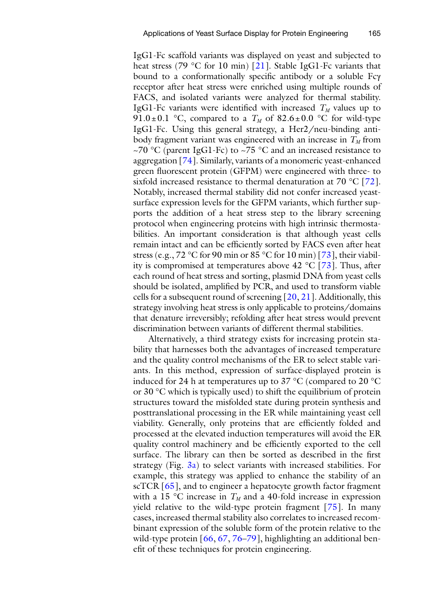IgG1-Fc scaffold variants was displayed on yeast and subjected to heat stress (79 °C for 10 min) [21]. Stable IgG1-Fc variants that bound to a conformationally specific antibody or a soluble Fcγ receptor after heat stress were enriched using multiple rounds of FACS, and isolated variants were analyzed for thermal stability. IgG1-Fc variants were identified with increased  $T_M$  values up to 91.0  $\pm$  0.1 °C, compared to a  $T_M$  of 82.6  $\pm$  0.0 °C for wild-type IgG1-Fc. Using this general strategy, a Her2/neu-binding antibody fragment variant was engineered with an increase in  $T_M$  from ~70 °C (parent IgG1-Fc) to ~75 °C and an increased resistance to aggregation [74]. Similarly, variants of a monomeric yeast-enhanced green fluorescent protein (GFPM) were engineered with three- to sixfold increased resistance to thermal denaturation at  $70 \degree C$  [72]. Notably, increased thermal stability did not confer increased yeastsurface expression levels for the GFPM variants, which further supports the addition of a heat stress step to the library screening protocol when engineering proteins with high intrinsic thermostabilities. An important consideration is that although yeast cells remain intact and can be efficiently sorted by FACS even after heat stress (e.g., 72 °C for 90 min or 85 °C for 10 min) [73], their viability is compromised at temperatures above  $42 \degree C$  [73]. Thus, after each round of heat stress and sorting, plasmid DNA from yeast cells should be isolated, amplified by PCR, and used to transform viable cells for a subsequent round of screening  $[20, 21]$  $[20, 21]$  $[20, 21]$ . Additionally, this strategy involving heat stress is only applicable to proteins/domains that denature irreversibly; refolding after heat stress would prevent discrimination between variants of different thermal stabilities.

Alternatively, a third strategy exists for increasing protein stability that harnesses both the advantages of increased temperature and the quality control mechanisms of the ER to select stable variants. In this method, expression of surface-displayed protein is induced for 24 h at temperatures up to 37 °C (compared to 20 °C or 30 °C which is typically used) to shift the equilibrium of protein structures toward the misfolded state during protein synthesis and posttranslational processing in the ER while maintaining yeast cell viability. Generally, only proteins that are efficiently folded and processed at the elevated induction temperatures will avoid the ER quality control machinery and be efficiently exported to the cell surface. The library can then be sorted as described in the first strategy (Fig.  $3a$ ) to select variants with increased stabilities. For example, this strategy was applied to enhance the stability of an scTCR  $[65]$ , and to engineer a hepatocyte growth factor fragment with a 15  $\degree$ C increase in  $T_M$  and a 40-fold increase in expression yield relative to the wild-type protein fragment [75]. In many cases, increased thermal stability also correlates to increased recombinant expression of the soluble form of the protein relative to the wild-type protein  $[66, 67, 76-79]$ , highlighting an additional benefit of these techniques for protein engineering.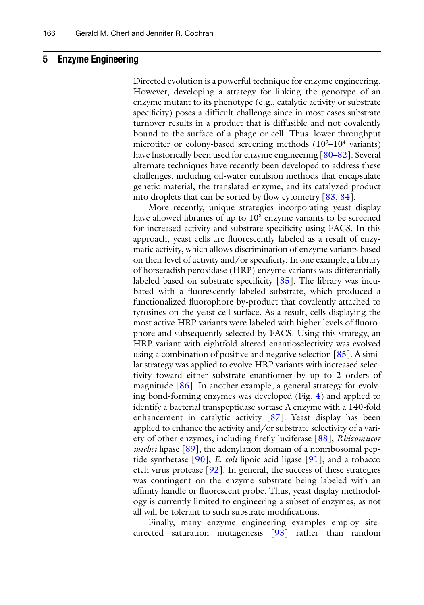#### **5 Enzyme Engineering**

Directed evolution is a powerful technique for enzyme engineering. However, developing a strategy for linking the genotype of an enzyme mutant to its phenotype (e.g., catalytic activity or substrate specificity) poses a difficult challenge since in most cases substrate turnover results in a product that is diffusible and not covalently bound to the surface of a phage or cell. Thus, lower throughput microtiter or colony-based screening methods  $(10^{3}-10^{4} \text{ variants})$ have historically been used for enzyme engineering  $[80-82]$ . Several alternate techniques have recently been developed to address these challenges, including oil-water emulsion methods that encapsulate genetic material, the translated enzyme, and its catalyzed product into droplets that can be sorted by flow cytometry  $[83, 84]$  $[83, 84]$ .

More recently, unique strategies incorporating yeast display have allowed libraries of up to  $10<sup>8</sup>$  enzyme variants to be screened for increased activity and substrate specificity using FACS. In this approach, yeast cells are fluorescently labeled as a result of enzymatic activity, which allows discrimination of enzyme variants based on their level of activity and/or specificity. In one example, a library of horseradish peroxidase (HRP) enzyme variants was differentially labeled based on substrate specificity  $[85]$ . The library was incubated with a fluorescently labeled substrate, which produced a functionalized fluorophore by-product that covalently attached to tyrosines on the yeast cell surface. As a result, cells displaying the most active HRP variants were labeled with higher levels of fluorophore and subsequently selected by FACS. Using this strategy, an HRP variant with eightfold altered enantioselectivity was evolved using a combination of positive and negative selection  $[85]$ . A similar strategy was applied to evolve HRP variants with increased selectivity toward either substrate enantiomer by up to 2 orders of magnitude  $[86]$ . In another example, a general strategy for evolving bond-forming enzymes was developed (Fig. [4\)](#page-12-0) and applied to identify a bacterial transpeptidase sortase A enzyme with a 140-fold enhancement in catalytic activity [87]. Yeast display has been applied to enhance the activity and/or substrate selectivity of a variety of other enzymes, including firefly luciferase [88], *Rhizomucor miehei* lipase [89], the adenylation domain of a nonribosomal peptide synthetase [90], *E. coli* lipoic acid ligase [91], and a tobacco etch virus protease  $[92]$ . In general, the success of these strategies was contingent on the enzyme substrate being labeled with an affinity handle or fluorescent probe. Thus, yeast display methodology is currently limited to engineering a subset of enzymes, as not all will be tolerant to such substrate modifications.

Finally, many enzyme engineering examples employ sitedirected saturation mutagenesis  $[93]$  rather than random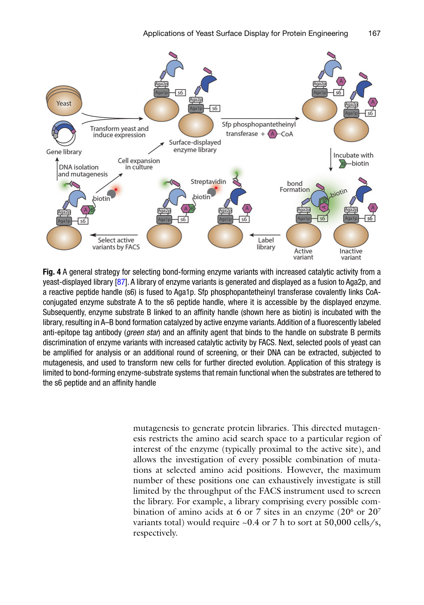<span id="page-12-0"></span>

 **Fig. 4** A general strategy for selecting bond-forming enzyme variants with increased catalytic activity from a yeast-displayed library [87]. A library of enzyme variants is generated and displayed as a fusion to Aga2p, and a reactive peptide handle (s6) is fused to Aga1p. Sfp phosphopantetheinyl transferase covalently links CoAconjugated enzyme substrate A to the s6 peptide handle, where it is accessible by the displayed enzyme. Subsequently, enzyme substrate B linked to an affinity handle (shown here as biotin) is incubated with the library, resulting in A–B bond formation catalyzed by active enzyme variants. Addition of a fluorescently labeled anti-epitope tag antibody (*green star*) and an affinity agent that binds to the handle on substrate B permits discrimination of enzyme variants with increased catalytic activity by FACS. Next, selected pools of yeast can be amplified for analysis or an additional round of screening, or their DNA can be extracted, subjected to mutagenesis, and used to transform new cells for further directed evolution. Application of this strategy is limited to bond-forming enzyme-substrate systems that remain functional when the substrates are tethered to the s6 peptide and an affinity handle

mutagenesis to generate protein libraries. This directed mutagenesis restricts the amino acid search space to a particular region of interest of the enzyme (typically proximal to the active site), and allows the investigation of every possible combination of mutations at selected amino acid positions. However, the maximum number of these positions one can exhaustively investigate is still limited by the throughput of the FACS instrument used to screen the library. For example, a library comprising every possible combination of amino acids at 6 or 7 sites in an enzyme (20 $^{\circ}$  or 20 $^{\circ}$ variants total) would require  $\sim 0.4$  or 7 h to sort at 50,000 cells/s, respectively.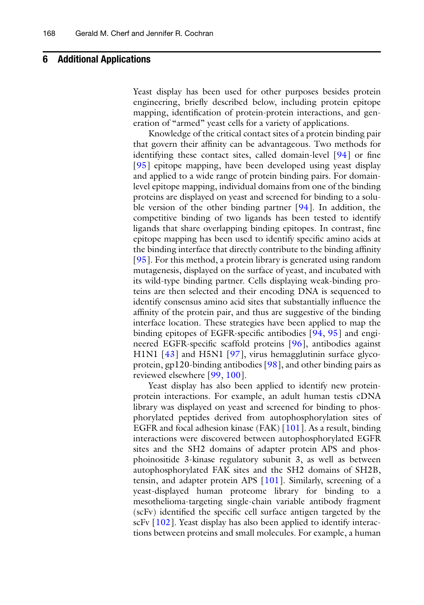#### **6 Additional Applications**

Yeast display has been used for other purposes besides protein engineering, briefly described below, including protein epitope mapping, identification of protein-protein interactions, and generation of "armed" yeast cells for a variety of applications.

Knowledge of the critical contact sites of a protein binding pair that govern their affinity can be advantageous. Two methods for identifying these contact sites, called domain-level  $[94]$  or fine [95] epitope mapping, have been developed using yeast display and applied to a wide range of protein binding pairs. For domainlevel epitope mapping, individual domains from one of the binding proteins are displayed on yeast and screened for binding to a soluble version of the other binding partner  $[94]$ . In addition, the competitive binding of two ligands has been tested to identify ligands that share overlapping binding epitopes. In contrast, fine epitope mapping has been used to identify specific amino acids at the binding interface that directly contribute to the binding affinity [95]. For this method, a protein library is generated using random mutagenesis, displayed on the surface of yeast, and incubated with its wild-type binding partner. Cells displaying weak-binding proteins are then selected and their encoding DNA is sequenced to identify consensus amino acid sites that substantially influence the affinity of the protein pair, and thus are suggestive of the binding interface location. These strategies have been applied to map the binding epitopes of EGFR-specific antibodies  $[94, 95]$  $[94, 95]$  and engineered EGFR-specific scaffold proteins [96], antibodies against H1N1  $[43]$  and H5N1  $[97]$ , virus hemagglutinin surface glycoprotein, gp120-binding antibodies [ [98](#page-19-0)], and other binding pairs as reviewed elsewhere [99, [100\]](#page-19-0).

Yeast display has also been applied to identify new proteinprotein interactions. For example, an adult human testis cDNA library was displayed on yeast and screened for binding to phosphorylated peptides derived from autophosphorylation sites of EGFR and focal adhesion kinase (FAK) [\[ 101\]](#page-19-0). As a result, binding interactions were discovered between autophosphorylated EGFR sites and the SH2 domains of adapter protein APS and phosphoinositide 3-kinase regulatory subunit 3, as well as between autophosphorylated FAK sites and the SH2 domains of SH2B, tensin, and adapter protein APS [\[ 101\]](#page-19-0). Similarly, screening of a yeast-displayed human proteome library for binding to a mesothelioma- targeting single-chain variable antibody fragment (scFv) identified the specific cell surface antigen targeted by the scFv  $[102]$ . Yeast display has also been applied to identify interactions between proteins and small molecules. For example, a human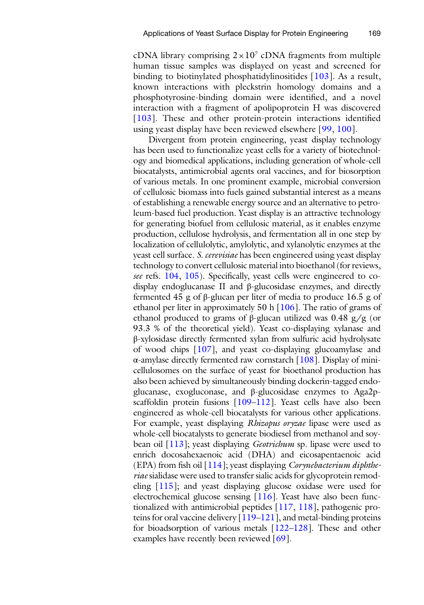cDNA library comprising  $2 \times 10^7$  cDNA fragments from multiple human tissue samples was displayed on yeast and screened for binding to biotinylated phosphatidylinositides [103]. As a result, known interactions with pleckstrin homology domains and a phosphotyrosine-binding domain were identified, and a novel interaction with a fragment of apolipoprotein H was discovered [103]. These and other protein-protein interactions identified using yeast display have been reviewed elsewhere [99, [100\]](#page-19-0).

Divergent from protein engineering, yeast display technology has been used to functionalize yeast cells for a variety of biotechnology and biomedical applications, including generation of whole-cell biocatalysts, antimicrobial agents oral vaccines, and for biosorption of various metals. In one prominent example, microbial conversion of cellulosic biomass into fuels gained substantial interest as a means of establishing a renewable energy source and an alternative to petroleum-based fuel production. Yeast display is an attractive technology for generating biofuel from cellulosic material, as it enables enzyme production, cellulose hydrolysis, and fermentation all in one step by localization of cellulolytic, amylolytic, and xylanolytic enzymes at the yeast cell surface. *S. cerevisiae* has been engineered using yeast display technology to convert cellulosic material into bioethanol (for reviews, *see* refs. [104,](#page-19-0) [105](#page-19-0)). Specifically, yeast cells were engineered to codisplay endoglucanase II and β-glucosidase enzymes, and directly fermented 45 g of β-glucan per liter of media to produce 16.5 g of ethanol per liter in approximately 50 h  $[106]$ . The ratio of grams of ethanol produced to grams of β-glucan utilized was  $0.48$  g/g (or 93.3 % of the theoretical yield). Yeast co-displaying xylanase and β-xylosidase directly fermented xylan from sulfuric acid hydrolysate of wood chips [ [107\]](#page-19-0), and yeast co-displaying glucoamylase and α-amylase directly fermented raw cornstarch [ [108](#page-19-0)]. Display of minicellulosomes on the surface of yeast for bioethanol production has also been achieved by simultaneously binding dockerin-tagged endoglucanase, exogluconase, and β-glucosidase enzymes to Aga2pscaffoldin protein fusions  $[109-112]$ . Yeast cells have also been engineered as whole-cell biocatalysts for various other applications. For example, yeast displaying *Rhizopus oryzae* lipase were used as whole-cell biocatalysts to generate biodiesel from methanol and soybean oil [ [113\]](#page-20-0); yeast displaying *Geotrichum* sp. lipase were used to enrich docosahexaenoic acid (DHA) and eicosapentaenoic acid (EPA) from fish oil [114]; yeast displaying *Corynebacterium diphtheriae* sialidase were used to transfer sialic acids for glycoprotein remodeling  $[115]$ ; and yeast displaying glucose oxidase were used for electrochemical glucose sensing [ [116\]](#page-20-0). Yeast have also been functionalized with antimicrobial peptides [ [117](#page-20-0), [118\]](#page-20-0), pathogenic proteins for oral vaccine delivery  $[119-121]$ , and metal-binding proteins for bioadsorption of various metals  $[122-128]$ . These and other examples have recently been reviewed [69].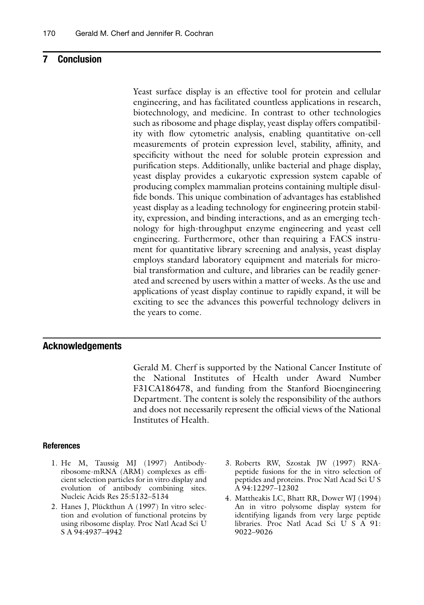#### <span id="page-15-0"></span>**7 Conclusion**

Yeast surface display is an effective tool for protein and cellular engineering, and has facilitated countless applications in research, biotechnology, and medicine. In contrast to other technologies such as ribosome and phage display, yeast display offers compatibility with flow cytometric analysis, enabling quantitative on-cell measurements of protein expression level, stability, affinity, and specificity without the need for soluble protein expression and purification steps. Additionally, unlike bacterial and phage display, yeast display provides a eukaryotic expression system capable of producing complex mammalian proteins containing multiple disulfide bonds. This unique combination of advantages has established yeast display as a leading technology for engineering protein stability, expression, and binding interactions, and as an emerging technology for high-throughput enzyme engineering and yeast cell engineering. Furthermore, other than requiring a FACS instrument for quantitative library screening and analysis, yeast display employs standard laboratory equipment and materials for microbial transformation and culture, and libraries can be readily generated and screened by users within a matter of weeks. As the use and applications of yeast display continue to rapidly expand, it will be exciting to see the advances this powerful technology delivers in the years to come.

#### **Acknowledgements**

Gerald M. Cherf is supported by the National Cancer Institute of the National Institutes of Health under Award Number F31CA186478, and funding from the Stanford Bioengineering Department. The content is solely the responsibility of the authors and does not necessarily represent the official views of the National Institutes of Health.

#### **References**

- 1. He M, Taussig MJ (1997) Antibodyribosome-mRNA (ARM) complexes as efficient selection particles for in vitro display and evolution of antibody combining sites. Nucleic Acids Res 25:5132–5134
- 2. Hanes J, Plückthun A (1997) In vitro selection and evolution of functional proteins by using ribosome display. Proc Natl Acad Sci U S A 94:4937–4942
- 3. Roberts RW, Szostak JW (1997) RNApeptide fusions for the in vitro selection of peptides and proteins. Proc Natl Acad Sci U S A 94:12297–12302
- 4. Mattheakis LC, Bhatt RR, Dower WJ (1994) An in vitro polysome display system for identifying ligands from very large peptide libraries. Proc Natl Acad Sci U S A 91: 9022–9026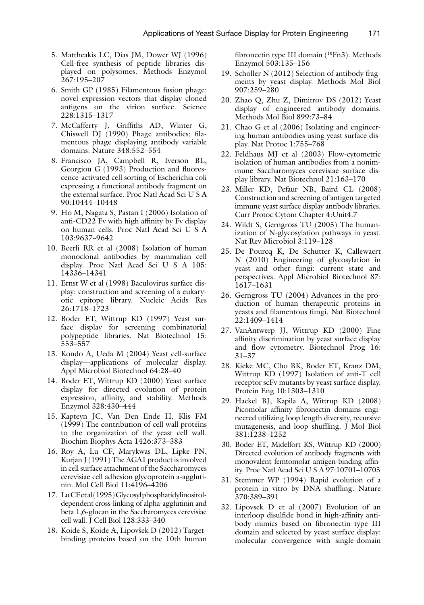- <span id="page-16-0"></span> 5. Mattheakis LC, Dias JM, Dower WJ (1996) Cell-free synthesis of peptide libraries displayed on polysomes. Methods Enzymol 267:195–207
- 6. Smith GP (1985) Filamentous fusion phage: novel expression vectors that display cloned antigens on the virion surface. Science 228:1315–1317
- 7. McCafferty J, Griffiths AD, Winter G, Chiswell DJ (1990) Phage antibodies: filamentous phage displaying antibody variable domains. Nature 348:552–554
- 8. Francisco JA, Campbell R, Iverson BL, Georgiou G (1993) Production and fluorescence-activated cell sorting of Escherichia coli expressing a functional antibody fragment on the external surface. Proc Natl Acad Sci U S A 90:10444–10448
- 9. Ho M, Nagata S, Pastan I (2006) Isolation of anti-CD22 Fv with high affinity by Fv display on human cells. Proc Natl Acad Sci U S A 103:9637–9642
- 10. Beerli RR et al (2008) Isolation of human monoclonal antibodies by mammalian cell display. Proc Natl Acad Sci U S A 105: 14336–14341
- 11. Ernst W et al (1998) Baculovirus surface display: construction and screening of a eukaryotic epitope library. Nucleic Acids Res 26:1718–1723
- 12. Boder ET, Wittrup KD (1997) Yeast surface display for screening combinatorial polypeptide libraries. Nat Biotechnol 15: 553–557
- 13. Kondo A, Ueda M (2004) Yeast cell-surface display—applications of molecular display. Appl Microbiol Biotechnol 64:28–40
- 14. Boder ET, Wittrup KD (2000) Yeast surface display for directed evolution of protein expression, affinity, and stability. Methods Enzymol 328:430–444
- 15. Kapteyn JC, Van Den Ende H, Klis FM (1999) The contribution of cell wall proteins to the organization of the yeast cell wall. Biochim Biophys Acta 1426:373–383
- 16. Roy A, Lu CF, Marykwas DL, Lipke PN, Kurjan J (1991) The AGA1 product is involved in cell surface attachment of the Saccharomyces cerevisiae cell adhesion glycoprotein a-agglutinin. Mol Cell Biol 11:4196–4206
- 17. Lu CF et al (1995) Glycosyl phosphatidylinositoldependent cross-linking of alpha-agglutinin and beta 1,6-glucan in the Saccharomyces cerevisiae cell wall. J Cell Biol 128:333–340
- 18. Koide S, Koide A, Lipovšek D (2012) Targetbinding proteins based on the 10th human

fibronectin type III domain  $(^{10}Fn3)$ . Methods Enzymol 503:135–156

- 19. Scholler N (2012) Selection of antibody fragments by yeast display. Methods Mol Biol 907:259–280
- 20. Zhao Q, Zhu Z, Dimitrov DS (2012) Yeast display of engineered antibody domains. Methods Mol Biol 899:73–84
- 21. Chao G et al (2006) Isolating and engineering human antibodies using yeast surface display. Nat Protoc 1:755–768
- 22. Feldhaus MJ et al (2003) Flow-cytometric isolation of human antibodies from a nonimmune Saccharomyces cerevisiae surface display library. Nat Biotechnol 21:163–170
- 23. Miller KD, Pefaur NB, Baird CL (2008) Construction and screening of antigen targeted immune yeast surface display antibody libraries. Curr Protoc Cytom Chapter 4:Unit4.7
- 24. Wildt S, Gerngross TU (2005) The humanization of N-glycosylation pathways in yeast. Nat Rev Microbiol 3:119–128
- 25. De Pourcq K, De Schutter K, Callewaert N (2010) Engineering of glycosylation in yeast and other fungi: current state and perspectives. Appl Microbiol Biotechnol 87: 1617–1631
- 26. Gerngross TU (2004) Advances in the production of human therapeutic proteins in yeasts and filamentous fungi. Nat Biotechnol 22:1409–1414
- 27. VanAntwerp JJ, Wittrup KD (2000) Fine affinity discrimination by yeast surface display and flow cytometry. Biotechnol Prog 16: 31–37
- 28. Kieke MC, Cho BK, Boder ET, Kranz DM, Wittrup KD (1997) Isolation of anti-T cell receptor scFv mutants by yeast surface display. Protein Eng 10:1303–1310
- 29. Hackel BJ, Kapila A, Wittrup KD (2008) Picomolar affinity fibronectin domains engineered utilizing loop length diversity, recursive mutagenesis, and loop shuffling. J Mol Biol 381:1238–1252
- 30. Boder ET, Midelfort KS, Wittrup KD (2000) Directed evolution of antibody fragments with monovalent femtomolar antigen-binding affinity. Proc Natl Acad Sci U S A 97:10701–10705
- 31. Stemmer WP (1994) Rapid evolution of a protein in vitro by DNA shuffling. Nature 370:389–391
- 32. Lipovsek D et al (2007) Evolution of an interloop disulfide bond in high-affinity antibody mimics based on fibronectin type III domain and selected by yeast surface display: molecular convergence with single-domain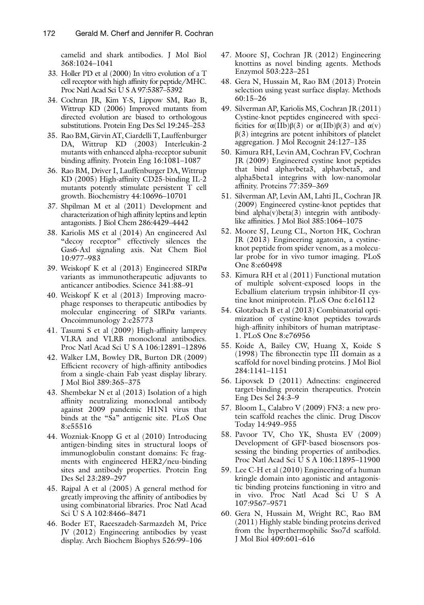<span id="page-17-0"></span>camelid and shark antibodies. J Mol Biol 368:1024–1041

- 33. Holler PD et al (2000) In vitro evolution of a T cell receptor with high affinity for peptide/MHC. Proc Natl Acad Sci U S A 97:5387–5392
- 34. Cochran JR, Kim Y-S, Lippow SM, Rao B, Wittrup KD (2006) Improved mutants from directed evolution are biased to orthologous substitutions. Protein Eng Des Sel 19:245–253
- 35. Rao BM, Girvin AT, Ciardelli T, Lauffenburger DA, Wittrup KD (2003) Interleukin-2 mutants with enhanced alpha-receptor subunit binding affinity. Protein Eng 16:1081-1087
- 36. Rao BM, Driver I, Lauffenburger DA, Wittrup  $KD(2005)$  High-affinity CD25-binding IL-2 mutants potently stimulate persistent T cell growth. Biochemistry 44:10696–10701
- 37. Shpilman M et al (2011) Development and characterization of high affinity leptins and leptin antagonists. J Biol Chem 286:4429–4442
- 38. Kariolis MS et al (2014) An engineered Axl "decoy receptor" effectively silences the Gas6-Axl signaling axis. Nat Chem Biol 10:977–983
- 39. Weiskopf K et al (2013) Engineered SIRPα variants as immunotherapeutic adjuvants to anticancer antibodies. Science 341:88–91
- 40. Weiskopf K et al (2013) Improving macrophage responses to therapeutic antibodies by molecular engineering of  $SIRP\alpha$  variants. Oncoimmunology 2:e25773
- 41. Tasumi S et al (2009) High-affinity lamprey VLRA and VLRB monoclonal antibodies. Proc Natl Acad Sci U S A 106:12891–12896
- 42. Walker LM, Bowley DR, Burton DR (2009) Efficient recovery of high-affinity antibodies from a single-chain Fab yeast display library. J Mol Biol 389:365–375
- 43. Shembekar N et al (2013) Isolation of a high affinity neutralizing monoclonal antibody against 2009 pandemic H1N1 virus that binds at the "Sa" antigenic site. PLoS One 8:e55516
- 44. Wozniak-Knopp G et al (2010) Introducing antigen-binding sites in structural loops of immunoglobulin constant domains: Fc fragments with engineered HER2/neu-binding sites and antibody properties. Protein Eng Des Sel 23:289–297
- 45. Rajpal A et al (2005) A general method for greatly improving the affinity of antibodies by using combinatorial libraries. Proc Natl Acad Sci U S A 102:8466–8471
- 46. Boder ET, Raeeszadeh-Sarmazdeh M, Price JV (2012) Engineering antibodies by yeast display. Arch Biochem Biophys 526:99–106
- 47. Moore SJ, Cochran JR (2012) Engineering knottins as novel binding agents. Methods Enzymol 503:223–251
- 48. Gera N, Hussain M, Rao BM (2013) Protein selection using yeast surface display. Methods 60:15–26
- 49. Silverman AP, Kariolis MS, Cochran JR (2011) Cystine-knot peptides engineered with specificities for  $\alpha(IIb)\beta(3)$  or  $\alpha(IIb)\beta(3)$  and  $\alpha(v)$  $\beta(3)$  integrins are potent inhibitors of platelet aggregation. J Mol Recognit 24:127–135
- 50. Kimura RH, Levin AM, Cochran FV, Cochran JR (2009) Engineered cystine knot peptides that bind alphavbeta3, alphavbeta5, and alpha5beta1 integrins with low-nanomolar affinity. Proteins 77:359-369
- 51. Silverman AP, Levin AM, Lahti JL, Cochran JR (2009) Engineered cystine-knot peptides that bind alpha(v)beta(3) integrin with antibodylike affinities. J Mol Biol  $385:1064-1075$
- 52. Moore SJ, Leung CL, Norton HK, Cochran JR (2013) Engineering agatoxin, a cystineknot peptide from spider venom, as a molecular probe for in vivo tumor imaging. PLoS One 8:e60498
- 53. Kimura RH et al (2011) Functional mutation of multiple solvent-exposed loops in the Ecballium elaterium trypsin inhibitor-II cystine knot miniprotein. PLoS One 6:e16112
- 54. Glotzbach B et al (2013) Combinatorial optimization of cystine-knot peptides towards high-affinity inhibitors of human matriptase-1. PLoS One 8:e76956
- 55. Koide A, Bailey CW, Huang X, Koide S  $(1998)$  The fibronectin type III domain as a scaffold for novel binding proteins. J Mol Biol 284:1141–1151
- 56. Lipovsek D (2011) Adnectins: engineered target-binding protein therapeutics. Protein Eng Des Sel 24:3–9
- 57. Bloom L, Calabro V (2009) FN3: a new protein scaffold reaches the clinic. Drug Discov Today 14:949–955
- 58. Pavoor TV, Cho YK, Shusta EV (2009) Development of GFP-based biosensors possessing the binding properties of antibodies. Proc Natl Acad Sci U S A 106:11895–11900
- 59. Lee C-H et al (2010) Engineering of a human kringle domain into agonistic and antagonistic binding proteins functioning in vitro and in vivo. Proc Natl Acad Sci U S A 107:9567–9571
- 60. Gera N, Hussain M, Wright RC, Rao BM (2011) Highly stable binding proteins derived from the hyperthermophilic Sso7d scaffold. J Mol Biol 409:601–616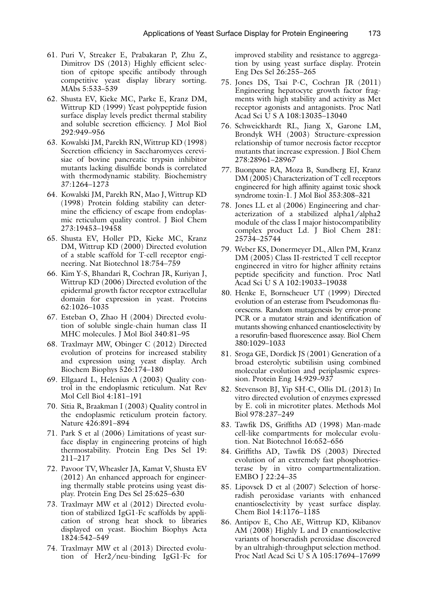- <span id="page-18-0"></span> 61. Puri V, Streaker E, Prabakaran P, Zhu Z, Dimitrov DS (2013) Highly efficient selection of epitope specific antibody through competitive yeast display library sorting. MAbs 5:533–539
- 62. Shusta EV, Kieke MC, Parke E, Kranz DM, Wittrup KD (1999) Yeast polypeptide fusion surface display levels predict thermal stability and soluble secretion efficiency. J Mol Biol 292:949–956
- 63. Kowalski JM, Parekh RN, Wittrup KD (1998) Secretion efficiency in Saccharomyces cerevisiae of bovine pancreatic trypsin inhibitor mutants lacking disulfide bonds is correlated with thermodynamic stability. Biochemistry 37:1264–1273
- 64. Kowalski JM, Parekh RN, Mao J, Wittrup KD (1998) Protein folding stability can determine the efficiency of escape from endoplasmic reticulum quality control. J Biol Chem 273:19453–19458
- 65. Shusta EV, Holler PD, Kieke MC, Kranz DM, Wittrup KD (2000) Directed evolution of a stable scaffold for T-cell receptor engineering. Nat Biotechnol 18:754–759
- 66. Kim Y-S, Bhandari R, Cochran JR, Kuriyan J, Wittrup KD (2006) Directed evolution of the epidermal growth factor receptor extracellular domain for expression in yeast. Proteins 62:1026–1035
- 67. Esteban O, Zhao H (2004) Directed evolution of soluble single-chain human class II MHC molecules. J Mol Biol 340:81–95
- 68. Traxlmayr MW, Obinger C (2012) Directed evolution of proteins for increased stability and expression using yeast display. Arch Biochem Biophys 526:174–180
- 69. Ellgaard L, Helenius A (2003) Quality control in the endoplasmic reticulum. Nat Rev Mol Cell Biol 4:181–191
- 70. Sitia R, Braakman I (2003) Quality control in the endoplasmic reticulum protein factory. Nature 426:891–894
- 71. Park S et al (2006) Limitations of yeast surface display in engineering proteins of high thermostability. Protein Eng Des Sel 19: 211–217
- 72. Pavoor TV, Wheasler JA, Kamat V, Shusta EV (2012) An enhanced approach for engineering thermally stable proteins using yeast display. Protein Eng Des Sel 25:625–630
- 73. Traxlmayr MW et al (2012) Directed evolution of stabilized IgG1-Fc scaffolds by application of strong heat shock to libraries displayed on yeast. Biochim Biophys Acta 1824:542–549
- 74. Traxlmayr MW et al (2013) Directed evolution of Her2/neu-binding IgG1-Fc for

improved stability and resistance to aggregation by using yeast surface display. Protein Eng Des Sel 26:255–265

- 75. Jones DS, Tsai P-C, Cochran JR (2011) Engineering hepatocyte growth factor fragments with high stability and activity as Met receptor agonists and antagonists. Proc Natl Acad Sci U S A 108:13035–13040
- 76. Schweickhardt RL, Jiang X, Garone LM, Brondyk WH (2003) Structure-expression relationship of tumor necrosis factor receptor mutants that increase expression. J Biol Chem 278:28961–28967
- 77. Buonpane RA, Moza B, Sundberg EJ, Kranz DM (2005) Characterization of T cell receptors engineered for high affinity against toxic shock syndrome toxin-1. J Mol Biol 353:308–321
- 78. Jones LL et al (2006) Engineering and characterization of a stabilized alpha1/alpha2 module of the class I major histocompatibility complex product Ld. J Biol Chem 281: 25734–25744
- 79. Weber KS, Donermeyer DL, Allen PM, Kranz DM (2005) Class II-restricted T cell receptor engineered in vitro for higher affinity retains peptide specificity and function. Proc Natl Acad Sci U S A 102:19033–19038
- 80. Henke E, Bornscheuer UT (1999) Directed evolution of an esterase from Pseudomonas fluorescens. Random mutagenesis by error- prone PCR or a mutator strain and identification of mutants showing enhanced enantioselectivity by a resorufin-based fluorescence assay. Biol Chem 380:1029–1033
- 81. Sroga GE, Dordick JS (2001) Generation of a broad esterolytic subtilisin using combined molecular evolution and periplasmic expression. Protein Eng 14:929–937
- 82. Stevenson BJ, Yip SH-C, Ollis DL (2013) In vitro directed evolution of enzymes expressed by E. coli in microtiter plates. Methods Mol Biol 978:237–249
- 83. Tawfik DS, Griffiths AD (1998) Man-made cell-like compartments for molecular evolution. Nat Biotechnol 16:652–656
- 84. Griffiths AD, Tawfik DS (2003) Directed evolution of an extremely fast phosphotriesterase by in vitro compartmentalization. EMBO J 22:24–35
- 85. Lipovsek D et al (2007) Selection of horseradish peroxidase variants with enhanced enantioselectivity by yeast surface display. Chem Biol 14:1176–1185
- 86. Antipov E, Cho AE, Wittrup KD, Klibanov AM (2008) Highly L and D enantioselective variants of horseradish peroxidase discovered by an ultrahigh-throughput selection method. Proc Natl Acad Sci U S A 105:17694–17699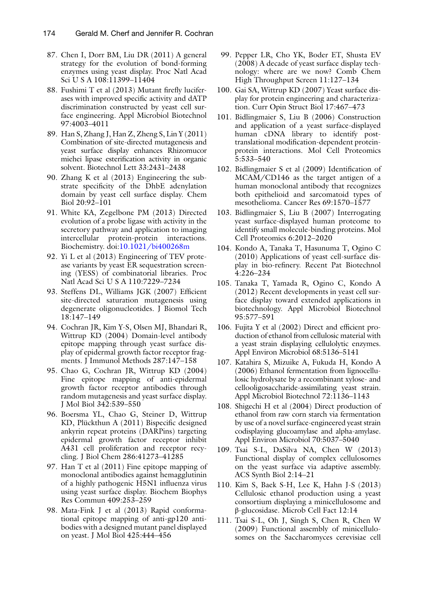- <span id="page-19-0"></span> 87. Chen I, Dorr BM, Liu DR (2011) A general strategy for the evolution of bond-forming enzymes using yeast display. Proc Natl Acad Sci U S A 108:11399–11404
- 88. Fushimi T et al  $(2013)$  Mutant firefly luciferases with improved specific activity and dATP discrimination constructed by yeast cell surface engineering. Appl Microbiol Biotechnol 97:4003–4011
- 89. Han S, Zhang J, Han Z, Zheng S, Lin Y (2011) Combination of site-directed mutagenesis and yeast surface display enhances Rhizomucor miehei lipase esterification activity in organic solvent. Biotechnol Lett 33:2431–2438
- 90. Zhang K et al (2013) Engineering the substrate specificity of the DhbE adenylation domain by yeast cell surface display. Chem Biol 20:92–101
- 91. White KA, Zegelbone PM (2013) Directed evolution of a probe ligase with activity in the secretory pathway and application to imaging intercellular protein-protein interactions. Biochemistry. doi[: 10.1021/bi400268m](http://dx.doi.org/10.1021/bi400268m)
- 92. Yi L et al (2013) Engineering of TEV protease variants by yeast ER sequestration screening (YESS) of combinatorial libraries. Proc Natl Acad Sci U S A 110:7229–7234
- 93. Steffens DL, Williams JGK (2007) Efficient site-directed saturation mutagenesis using degenerate oligonucleotides. J Biomol Tech 18:147–149
- 94. Cochran JR, Kim Y-S, Olsen MJ, Bhandari R, Wittrup KD (2004) Domain-level antibody epitope mapping through yeast surface display of epidermal growth factor receptor fragments. J Immunol Methods 287:147–158
- 95. Chao G, Cochran JR, Wittrup KD (2004) Fine epitope mapping of anti-epidermal growth factor receptor antibodies through random mutagenesis and yeast surface display. J Mol Biol 342:539–550
- 96. Boersma YL, Chao G, Steiner D, Wittrup KD, Plückthun A (2011) Bispecific designed ankyrin repeat proteins (DARPins) targeting epidermal growth factor receptor inhibit A431 cell proliferation and receptor recycling. J Biol Chem 286:41273–41285
- 97. Han T et al (2011) Fine epitope mapping of monoclonal antibodies against hemagglutinin of a highly pathogenic H5N1 influenza virus using yeast surface display. Biochem Biophys Res Commun 409:253–259
- 98. Mata-Fink J et al (2013) Rapid conformational epitope mapping of anti-gp120 antibodies with a designed mutant panel displayed on yeast. J Mol Biol 425:444–456
- 99. Pepper LR, Cho YK, Boder ET, Shusta EV (2008) A decade of yeast surface display technology: where are we now? Comb Chem High Throughput Screen 11:127–134
- 100. Gai SA, Wittrup KD (2007) Yeast surface display for protein engineering and characterization. Curr Opin Struct Biol 17:467–473
- 101. Bidlingmaier S, Liu B (2006) Construction and application of a yeast surface-displayed human cDNA library to identify posttranslational modification-dependent proteinprotein interactions. Mol Cell Proteomics 5:533–540
- 102. Bidlingmaier S et al (2009) Identification of MCAM/CD146 as the target antigen of a human monoclonal antibody that recognizes both epithelioid and sarcomatoid types of mesothelioma. Cancer Res 69:1570–1577
- 103. Bidlingmaier S, Liu B (2007) Interrogating yeast surface-displayed human proteome to identify small molecule-binding proteins. Mol Cell Proteomics 6:2012–2020
- 104. Kondo A, Tanaka T, Hasunuma T, Ogino C (2010) Applications of yeast cell-surface display in bio-refinery. Recent Pat Biotechnol 4:226–234
- 105. Tanaka T, Yamada R, Ogino C, Kondo A (2012) Recent developments in yeast cell surface display toward extended applications in biotechnology. Appl Microbiol Biotechnol 95:577–591
- 106. Fujita Y et al  $(2002)$  Direct and efficient production of ethanol from cellulosic material with a yeast strain displaying cellulolytic enzymes. Appl Environ Microbiol 68:5136–5141
- 107. Katahira S, Mizuike A, Fukuda H, Kondo A (2006) Ethanol fermentation from lignocellulosic hydrolysate by a recombinant xylose- and cellooligosaccharide-assimilating yeast strain. Appl Microbiol Biotechnol 72:1136–1143
- 108. Shigechi H et al (2004) Direct production of ethanol from raw corn starch via fermentation by use of a novel surface-engineered yeast strain codisplaying glucoamylase and alpha-amylase. Appl Environ Microbiol 70:5037–5040
- 109. Tsai S-L, DaSilva NA, Chen W (2013) Functional display of complex cellulosomes on the yeast surface via adaptive assembly. ACS Synth Biol 2:14–21
- 110. Kim S, Baek S-H, Lee K, Hahn J-S (2013) Cellulosic ethanol production using a yeast consortium displaying a minicellulosome and β-glucosidase. Microb Cell Fact 12:14
- 111. Tsai S-L, Oh J, Singh S, Chen R, Chen W (2009) Functional assembly of minicellulosomes on the Saccharomyces cerevisiae cell